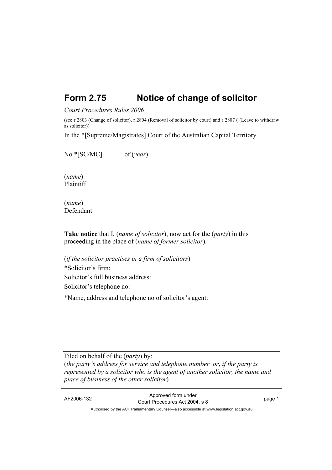## **Form 2.75 Notice of change of solicitor**

## *Court Procedures Rules 2006*

(see r 2803 (Change of solicitor), r 2804 (Removal of solicitor by court) and r 2807 ( (Leave to withdraw as solicitor))

In the \*[Supreme/Magistrates] Court of the Australian Capital Territory

No \*[SC/MC] of (*year*)

(*name*) Plaintiff

(*name*) Defendant

**Take notice** that I, (*name of solicitor*), now act for the (*party*) in this proceeding in the place of (*name of former solicitor*).

(*if the solicitor practises in a firm of solicitors*) \*Solicitor's firm: Solicitor's full business address: Solicitor's telephone no:

\*Name, address and telephone no of solicitor's agent:

Filed on behalf of the (*party*) by: (*the party's address for service and telephone number or*, *if the party is represented by a solicitor who is the agent of another solicitor, the name and place of business of the other solicitor*)

AF2006-132 Approved form under Court Procedures Act 2004, s 8 page 1 Authorised by the ACT Parliamentary Counsel—also accessible at www.legislation.act.gov.au